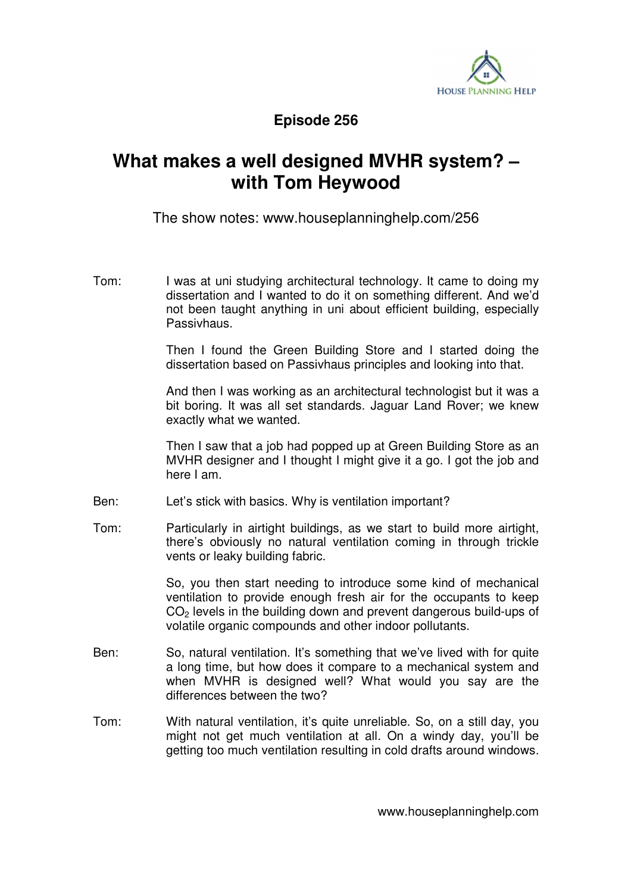

## **Episode 256**

## **What makes a well designed MVHR system? – with Tom Heywood**

The show notes: www.houseplanninghelp.com/256

Tom: I was at uni studying architectural technology. It came to doing my dissertation and I wanted to do it on something different. And we'd not been taught anything in uni about efficient building, especially Passivhaus.

> Then I found the Green Building Store and I started doing the dissertation based on Passivhaus principles and looking into that.

> And then I was working as an architectural technologist but it was a bit boring. It was all set standards. Jaguar Land Rover; we knew exactly what we wanted.

> Then I saw that a job had popped up at Green Building Store as an MVHR designer and I thought I might give it a go. I got the job and here I am.

- Ben: Let's stick with basics. Why is ventilation important?
- Tom: Particularly in airtight buildings, as we start to build more airtight, there's obviously no natural ventilation coming in through trickle vents or leaky building fabric.

 So, you then start needing to introduce some kind of mechanical ventilation to provide enough fresh air for the occupants to keep CO<sub>2</sub> levels in the building down and prevent dangerous build-ups of volatile organic compounds and other indoor pollutants.

- Ben: So, natural ventilation. It's something that we've lived with for quite a long time, but how does it compare to a mechanical system and when MVHR is designed well? What would you say are the differences between the two?
- Tom: With natural ventilation, it's quite unreliable. So, on a still day, you might not get much ventilation at all. On a windy day, you'll be getting too much ventilation resulting in cold drafts around windows.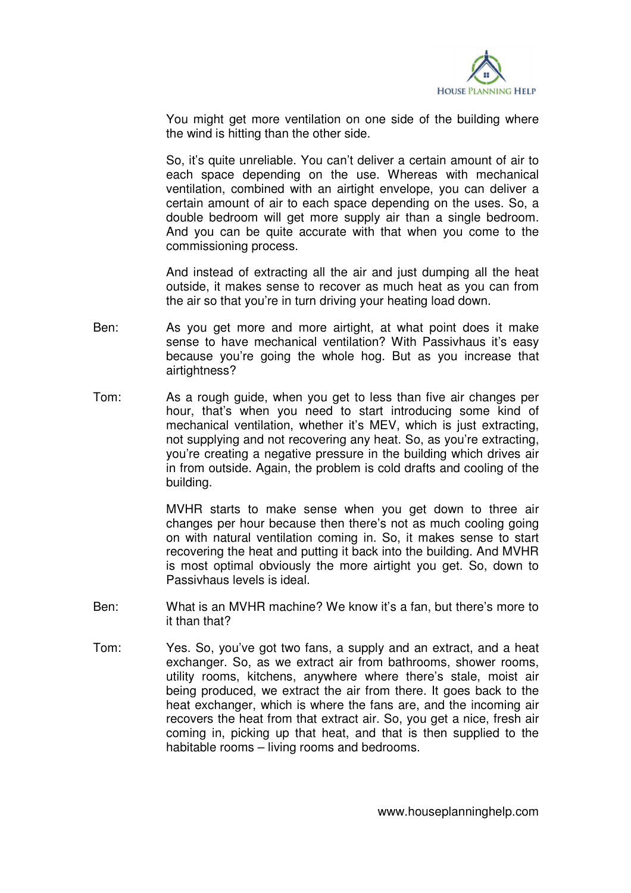

You might get more ventilation on one side of the building where the wind is hitting than the other side.

 So, it's quite unreliable. You can't deliver a certain amount of air to each space depending on the use. Whereas with mechanical ventilation, combined with an airtight envelope, you can deliver a certain amount of air to each space depending on the uses. So, a double bedroom will get more supply air than a single bedroom. And you can be quite accurate with that when you come to the commissioning process.

 And instead of extracting all the air and just dumping all the heat outside, it makes sense to recover as much heat as you can from the air so that you're in turn driving your heating load down.

- Ben: As you get more and more airtight, at what point does it make sense to have mechanical ventilation? With Passivhaus it's easy because you're going the whole hog. But as you increase that airtightness?
- Tom: As a rough guide, when you get to less than five air changes per hour, that's when you need to start introducing some kind of mechanical ventilation, whether it's MEV, which is just extracting, not supplying and not recovering any heat. So, as you're extracting, you're creating a negative pressure in the building which drives air in from outside. Again, the problem is cold drafts and cooling of the building.

 MVHR starts to make sense when you get down to three air changes per hour because then there's not as much cooling going on with natural ventilation coming in. So, it makes sense to start recovering the heat and putting it back into the building. And MVHR is most optimal obviously the more airtight you get. So, down to Passivhaus levels is ideal.

- Ben: What is an MVHR machine? We know it's a fan, but there's more to it than that?
- Tom: Yes. So, you've got two fans, a supply and an extract, and a heat exchanger. So, as we extract air from bathrooms, shower rooms, utility rooms, kitchens, anywhere where there's stale, moist air being produced, we extract the air from there. It goes back to the heat exchanger, which is where the fans are, and the incoming air recovers the heat from that extract air. So, you get a nice, fresh air coming in, picking up that heat, and that is then supplied to the habitable rooms – living rooms and bedrooms.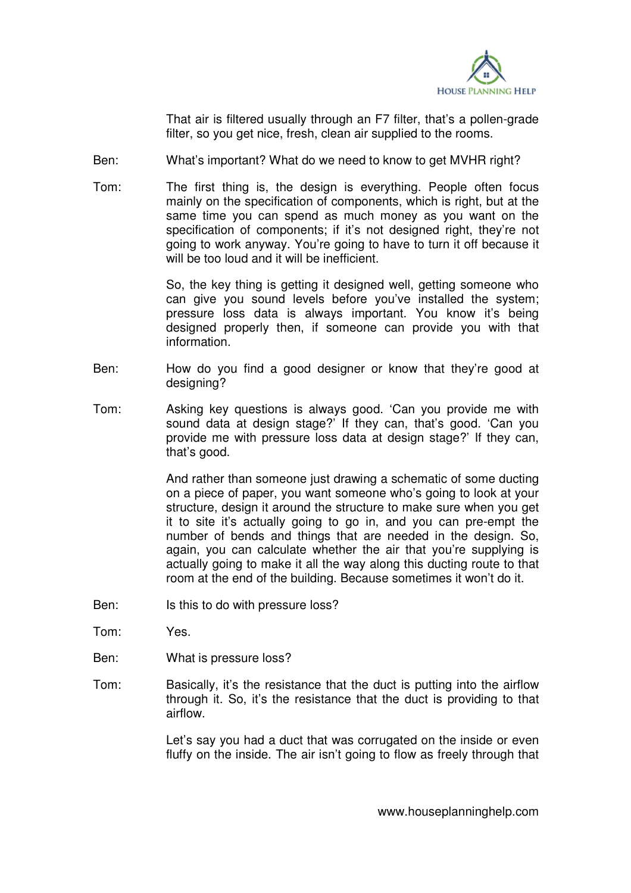

 That air is filtered usually through an F7 filter, that's a pollen-grade filter, so you get nice, fresh, clean air supplied to the rooms.

- Ben: What's important? What do we need to know to get MVHR right?
- Tom: The first thing is, the design is everything. People often focus mainly on the specification of components, which is right, but at the same time you can spend as much money as you want on the specification of components; if it's not designed right, they're not going to work anyway. You're going to have to turn it off because it will be too loud and it will be inefficient.

 So, the key thing is getting it designed well, getting someone who can give you sound levels before you've installed the system; pressure loss data is always important. You know it's being designed properly then, if someone can provide you with that information.

- Ben: How do you find a good designer or know that they're good at designing?
- Tom: Asking key questions is always good. 'Can you provide me with sound data at design stage?' If they can, that's good. 'Can you provide me with pressure loss data at design stage?' If they can, that's good.

 And rather than someone just drawing a schematic of some ducting on a piece of paper, you want someone who's going to look at your structure, design it around the structure to make sure when you get it to site it's actually going to go in, and you can pre-empt the number of bends and things that are needed in the design. So, again, you can calculate whether the air that you're supplying is actually going to make it all the way along this ducting route to that room at the end of the building. Because sometimes it won't do it.

- Ben: Is this to do with pressure loss?
- Tom: Yes.
- Ben: What is pressure loss?
- Tom: Basically, it's the resistance that the duct is putting into the airflow through it. So, it's the resistance that the duct is providing to that airflow.

 Let's say you had a duct that was corrugated on the inside or even fluffy on the inside. The air isn't going to flow as freely through that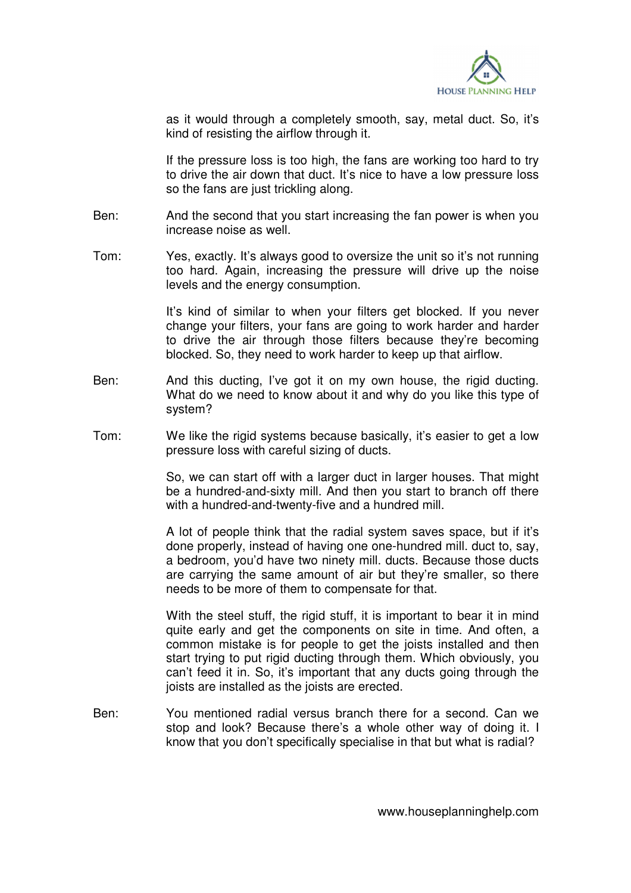

as it would through a completely smooth, say, metal duct. So, it's kind of resisting the airflow through it.

 If the pressure loss is too high, the fans are working too hard to try to drive the air down that duct. It's nice to have a low pressure loss so the fans are just trickling along.

- Ben: And the second that you start increasing the fan power is when you increase noise as well.
- Tom: Yes, exactly. It's always good to oversize the unit so it's not running too hard. Again, increasing the pressure will drive up the noise levels and the energy consumption.

 It's kind of similar to when your filters get blocked. If you never change your filters, your fans are going to work harder and harder to drive the air through those filters because they're becoming blocked. So, they need to work harder to keep up that airflow.

- Ben: And this ducting, I've got it on my own house, the rigid ducting. What do we need to know about it and why do you like this type of system?
- Tom: We like the rigid systems because basically, it's easier to get a low pressure loss with careful sizing of ducts.

 So, we can start off with a larger duct in larger houses. That might be a hundred-and-sixty mill. And then you start to branch off there with a hundred-and-twenty-five and a hundred mill.

 A lot of people think that the radial system saves space, but if it's done properly, instead of having one one-hundred mill. duct to, say, a bedroom, you'd have two ninety mill. ducts. Because those ducts are carrying the same amount of air but they're smaller, so there needs to be more of them to compensate for that.

 With the steel stuff, the rigid stuff, it is important to bear it in mind quite early and get the components on site in time. And often, a common mistake is for people to get the joists installed and then start trying to put rigid ducting through them. Which obviously, you can't feed it in. So, it's important that any ducts going through the joists are installed as the joists are erected.

Ben: You mentioned radial versus branch there for a second. Can we stop and look? Because there's a whole other way of doing it. I know that you don't specifically specialise in that but what is radial?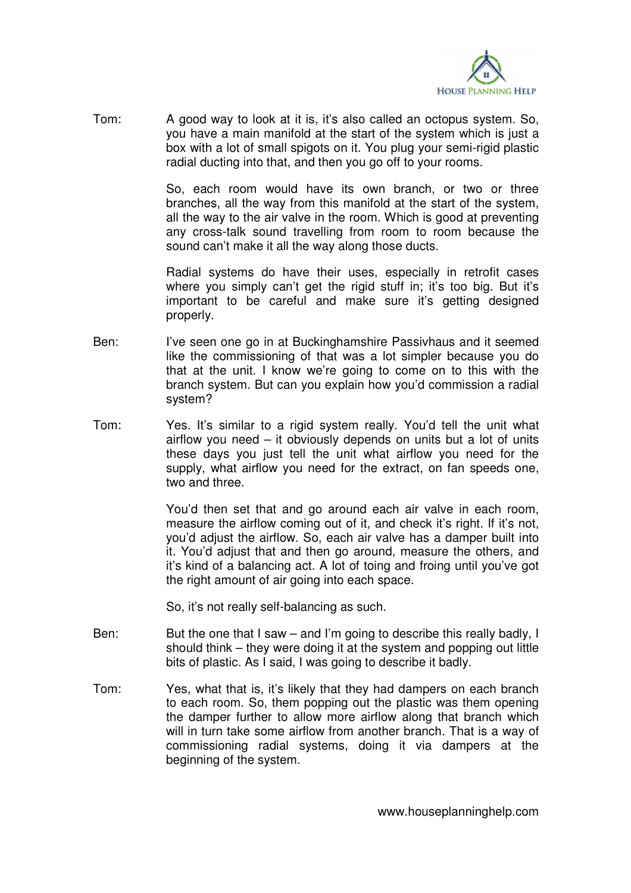

Tom: A good way to look at it is, it's also called an octopus system. So, you have a main manifold at the start of the system which is just a box with a lot of small spigots on it. You plug your semi-rigid plastic radial ducting into that, and then you go off to your rooms.

> So, each room would have its own branch, or two or three branches, all the way from this manifold at the start of the system, all the way to the air valve in the room. Which is good at preventing any cross-talk sound travelling from room to room because the sound can't make it all the way along those ducts.

> Radial systems do have their uses, especially in retrofit cases where you simply can't get the rigid stuff in; it's too big. But it's important to be careful and make sure it's getting designed properly.

- Ben: I've seen one go in at Buckinghamshire Passivhaus and it seemed like the commissioning of that was a lot simpler because you do that at the unit. I know we're going to come on to this with the branch system. But can you explain how you'd commission a radial system?
- Tom: Yes. It's similar to a rigid system really. You'd tell the unit what airflow you need – it obviously depends on units but a lot of units these days you just tell the unit what airflow you need for the supply, what airflow you need for the extract, on fan speeds one, two and three.

 You'd then set that and go around each air valve in each room, measure the airflow coming out of it, and check it's right. If it's not, you'd adjust the airflow. So, each air valve has a damper built into it. You'd adjust that and then go around, measure the others, and it's kind of a balancing act. A lot of toing and froing until you've got the right amount of air going into each space.

So, it's not really self-balancing as such.

- Ben: But the one that I saw and I'm going to describe this really badly, I should think – they were doing it at the system and popping out little bits of plastic. As I said, I was going to describe it badly.
- Tom: Yes, what that is, it's likely that they had dampers on each branch to each room. So, them popping out the plastic was them opening the damper further to allow more airflow along that branch which will in turn take some airflow from another branch. That is a way of commissioning radial systems, doing it via dampers at the beginning of the system.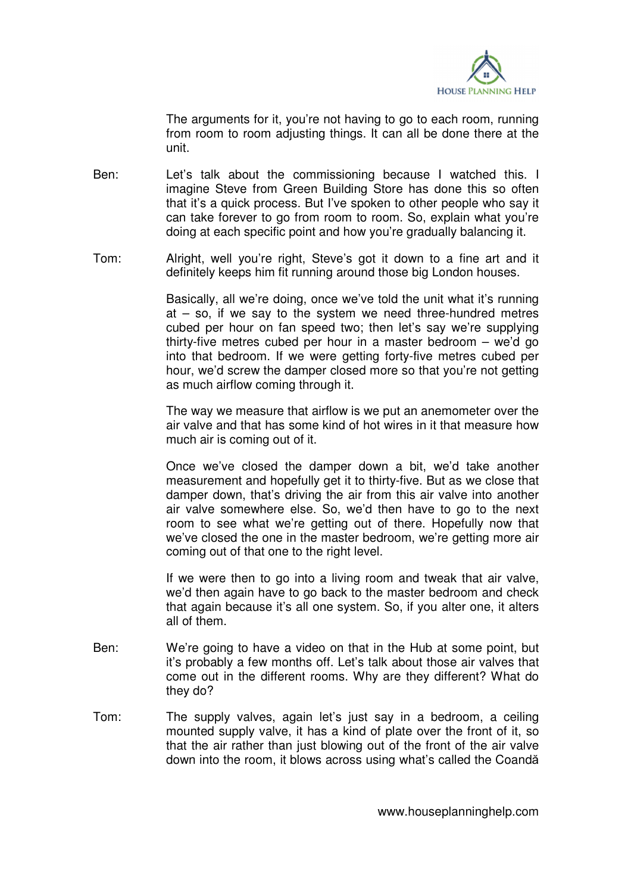

 The arguments for it, you're not having to go to each room, running from room to room adjusting things. It can all be done there at the unit.

- Ben: Let's talk about the commissioning because I watched this. I imagine Steve from Green Building Store has done this so often that it's a quick process. But I've spoken to other people who say it can take forever to go from room to room. So, explain what you're doing at each specific point and how you're gradually balancing it.
- Tom: Alright, well you're right, Steve's got it down to a fine art and it definitely keeps him fit running around those big London houses.

 Basically, all we're doing, once we've told the unit what it's running at  $-$  so, if we say to the system we need three-hundred metres cubed per hour on fan speed two; then let's say we're supplying thirty-five metres cubed per hour in a master bedroom – we'd go into that bedroom. If we were getting forty-five metres cubed per hour, we'd screw the damper closed more so that you're not getting as much airflow coming through it.

 The way we measure that airflow is we put an anemometer over the air valve and that has some kind of hot wires in it that measure how much air is coming out of it.

 Once we've closed the damper down a bit, we'd take another measurement and hopefully get it to thirty-five. But as we close that damper down, that's driving the air from this air valve into another air valve somewhere else. So, we'd then have to go to the next room to see what we're getting out of there. Hopefully now that we've closed the one in the master bedroom, we're getting more air coming out of that one to the right level.

 If we were then to go into a living room and tweak that air valve, we'd then again have to go back to the master bedroom and check that again because it's all one system. So, if you alter one, it alters all of them.

- Ben: We're going to have a video on that in the Hub at some point, but it's probably a few months off. Let's talk about those air valves that come out in the different rooms. Why are they different? What do they do?
- Tom: The supply valves, again let's just say in a bedroom, a ceiling mounted supply valve, it has a kind of plate over the front of it, so that the air rather than just blowing out of the front of the air valve down into the room, it blows across using what's called the Coandă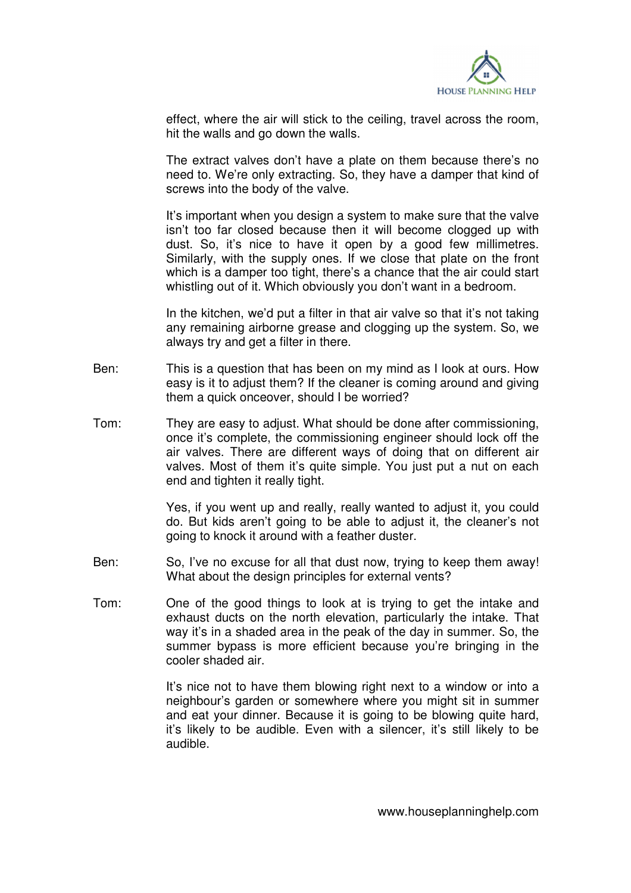

effect, where the air will stick to the ceiling, travel across the room, hit the walls and go down the walls.

 The extract valves don't have a plate on them because there's no need to. We're only extracting. So, they have a damper that kind of screws into the body of the valve.

 It's important when you design a system to make sure that the valve isn't too far closed because then it will become clogged up with dust. So, it's nice to have it open by a good few millimetres. Similarly, with the supply ones. If we close that plate on the front which is a damper too tight, there's a chance that the air could start whistling out of it. Which obviously you don't want in a bedroom.

 In the kitchen, we'd put a filter in that air valve so that it's not taking any remaining airborne grease and clogging up the system. So, we always try and get a filter in there.

- Ben: This is a question that has been on my mind as I look at ours. How easy is it to adjust them? If the cleaner is coming around and giving them a quick onceover, should I be worried?
- Tom: They are easy to adjust. What should be done after commissioning, once it's complete, the commissioning engineer should lock off the air valves. There are different ways of doing that on different air valves. Most of them it's quite simple. You just put a nut on each end and tighten it really tight.

 Yes, if you went up and really, really wanted to adjust it, you could do. But kids aren't going to be able to adjust it, the cleaner's not going to knock it around with a feather duster.

- Ben: So, I've no excuse for all that dust now, trying to keep them away! What about the design principles for external vents?
- Tom: One of the good things to look at is trying to get the intake and exhaust ducts on the north elevation, particularly the intake. That way it's in a shaded area in the peak of the day in summer. So, the summer bypass is more efficient because you're bringing in the cooler shaded air.

 It's nice not to have them blowing right next to a window or into a neighbour's garden or somewhere where you might sit in summer and eat your dinner. Because it is going to be blowing quite hard, it's likely to be audible. Even with a silencer, it's still likely to be audible.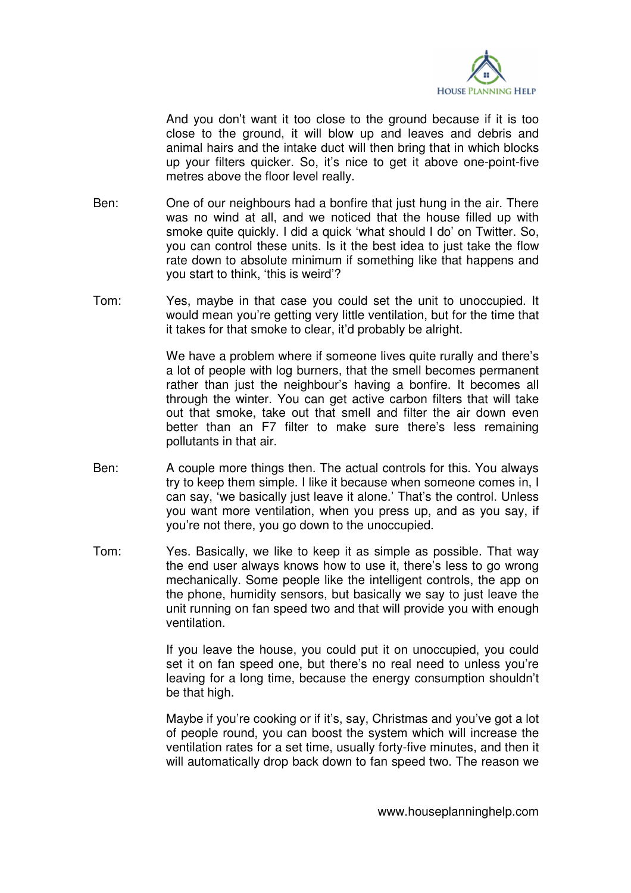

 And you don't want it too close to the ground because if it is too close to the ground, it will blow up and leaves and debris and animal hairs and the intake duct will then bring that in which blocks up your filters quicker. So, it's nice to get it above one-point-five metres above the floor level really.

- Ben: One of our neighbours had a bonfire that just hung in the air. There was no wind at all, and we noticed that the house filled up with smoke quite quickly. I did a quick 'what should I do' on Twitter. So, you can control these units. Is it the best idea to just take the flow rate down to absolute minimum if something like that happens and you start to think, 'this is weird'?
- Tom: Yes, maybe in that case you could set the unit to unoccupied. It would mean you're getting very little ventilation, but for the time that it takes for that smoke to clear, it'd probably be alright.

 We have a problem where if someone lives quite rurally and there's a lot of people with log burners, that the smell becomes permanent rather than just the neighbour's having a bonfire. It becomes all through the winter. You can get active carbon filters that will take out that smoke, take out that smell and filter the air down even better than an F7 filter to make sure there's less remaining pollutants in that air.

- Ben: A couple more things then. The actual controls for this. You always try to keep them simple. I like it because when someone comes in, I can say, 'we basically just leave it alone.' That's the control. Unless you want more ventilation, when you press up, and as you say, if you're not there, you go down to the unoccupied.
- Tom: Yes. Basically, we like to keep it as simple as possible. That way the end user always knows how to use it, there's less to go wrong mechanically. Some people like the intelligent controls, the app on the phone, humidity sensors, but basically we say to just leave the unit running on fan speed two and that will provide you with enough ventilation.

 If you leave the house, you could put it on unoccupied, you could set it on fan speed one, but there's no real need to unless you're leaving for a long time, because the energy consumption shouldn't be that high.

 Maybe if you're cooking or if it's, say, Christmas and you've got a lot of people round, you can boost the system which will increase the ventilation rates for a set time, usually forty-five minutes, and then it will automatically drop back down to fan speed two. The reason we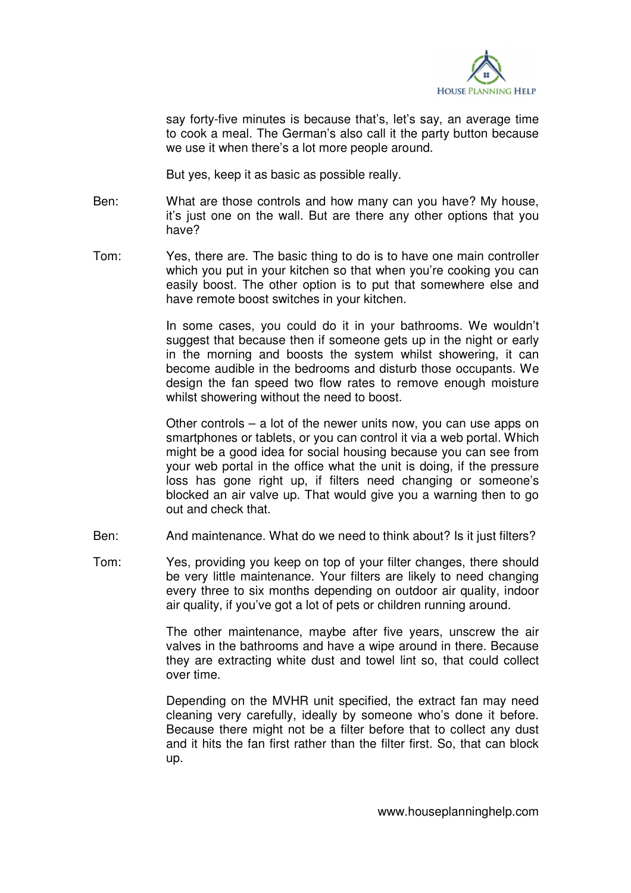

say forty-five minutes is because that's, let's say, an average time to cook a meal. The German's also call it the party button because we use it when there's a lot more people around.

But yes, keep it as basic as possible really.

- Ben: What are those controls and how many can you have? My house, it's just one on the wall. But are there any other options that you have?
- Tom: Yes, there are. The basic thing to do is to have one main controller which you put in your kitchen so that when you're cooking you can easily boost. The other option is to put that somewhere else and have remote boost switches in your kitchen.

 In some cases, you could do it in your bathrooms. We wouldn't suggest that because then if someone gets up in the night or early in the morning and boosts the system whilst showering, it can become audible in the bedrooms and disturb those occupants. We design the fan speed two flow rates to remove enough moisture whilst showering without the need to boost.

 Other controls – a lot of the newer units now, you can use apps on smartphones or tablets, or you can control it via a web portal. Which might be a good idea for social housing because you can see from your web portal in the office what the unit is doing, if the pressure loss has gone right up, if filters need changing or someone's blocked an air valve up. That would give you a warning then to go out and check that.

- Ben: And maintenance. What do we need to think about? Is it just filters?
- Tom: Yes, providing you keep on top of your filter changes, there should be very little maintenance. Your filters are likely to need changing every three to six months depending on outdoor air quality, indoor air quality, if you've got a lot of pets or children running around.

 The other maintenance, maybe after five years, unscrew the air valves in the bathrooms and have a wipe around in there. Because they are extracting white dust and towel lint so, that could collect over time.

 Depending on the MVHR unit specified, the extract fan may need cleaning very carefully, ideally by someone who's done it before. Because there might not be a filter before that to collect any dust and it hits the fan first rather than the filter first. So, that can block up.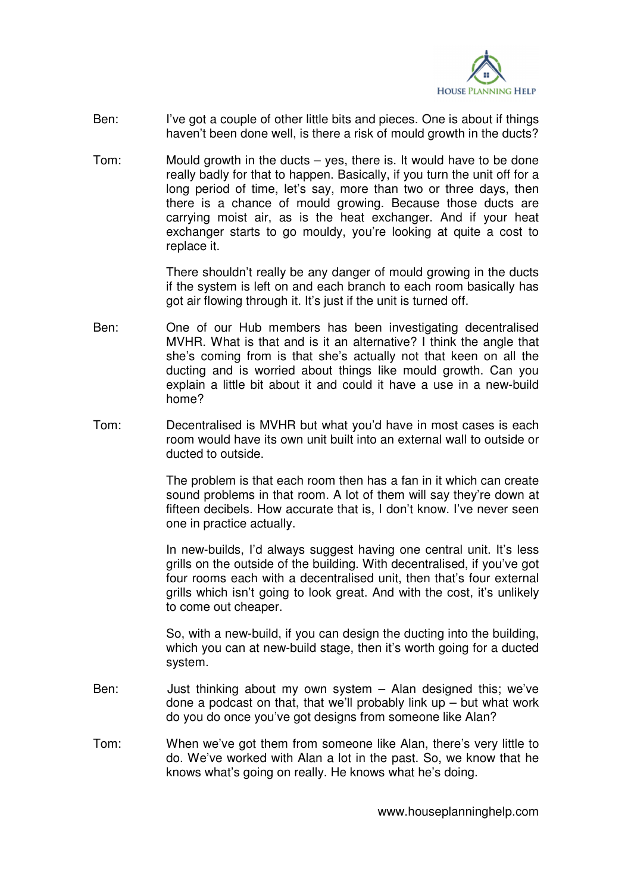

- Ben: I've got a couple of other little bits and pieces. One is about if things haven't been done well, is there a risk of mould growth in the ducts?
- Tom: Mould growth in the ducts yes, there is. It would have to be done really badly for that to happen. Basically, if you turn the unit off for a long period of time, let's say, more than two or three days, then there is a chance of mould growing. Because those ducts are carrying moist air, as is the heat exchanger. And if your heat exchanger starts to go mouldy, you're looking at quite a cost to replace it.

 There shouldn't really be any danger of mould growing in the ducts if the system is left on and each branch to each room basically has got air flowing through it. It's just if the unit is turned off.

- Ben: One of our Hub members has been investigating decentralised MVHR. What is that and is it an alternative? I think the angle that she's coming from is that she's actually not that keen on all the ducting and is worried about things like mould growth. Can you explain a little bit about it and could it have a use in a new-build home?
- Tom: Decentralised is MVHR but what you'd have in most cases is each room would have its own unit built into an external wall to outside or ducted to outside.

 The problem is that each room then has a fan in it which can create sound problems in that room. A lot of them will say they're down at fifteen decibels. How accurate that is, I don't know. I've never seen one in practice actually.

 In new-builds, I'd always suggest having one central unit. It's less grills on the outside of the building. With decentralised, if you've got four rooms each with a decentralised unit, then that's four external grills which isn't going to look great. And with the cost, it's unlikely to come out cheaper.

 So, with a new-build, if you can design the ducting into the building, which you can at new-build stage, then it's worth going for a ducted system.

- Ben: Just thinking about my own system Alan designed this; we've done a podcast on that, that we'll probably link up  $-$  but what work do you do once you've got designs from someone like Alan?
- Tom: When we've got them from someone like Alan, there's very little to do. We've worked with Alan a lot in the past. So, we know that he knows what's going on really. He knows what he's doing.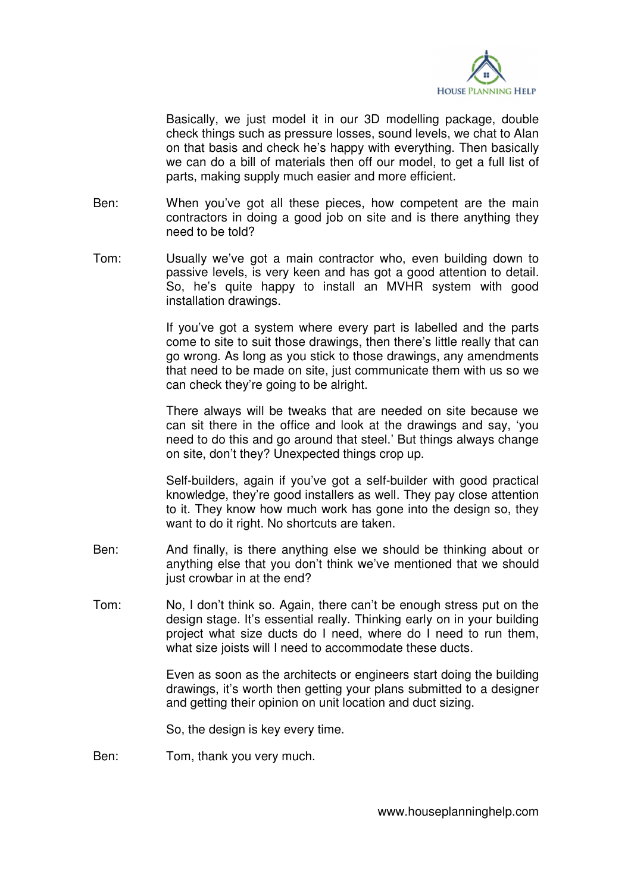

 Basically, we just model it in our 3D modelling package, double check things such as pressure losses, sound levels, we chat to Alan on that basis and check he's happy with everything. Then basically we can do a bill of materials then off our model, to get a full list of parts, making supply much easier and more efficient.

- Ben: When you've got all these pieces, how competent are the main contractors in doing a good job on site and is there anything they need to be told?
- Tom: Usually we've got a main contractor who, even building down to passive levels, is very keen and has got a good attention to detail. So, he's quite happy to install an MVHR system with good installation drawings.

 If you've got a system where every part is labelled and the parts come to site to suit those drawings, then there's little really that can go wrong. As long as you stick to those drawings, any amendments that need to be made on site, just communicate them with us so we can check they're going to be alright.

 There always will be tweaks that are needed on site because we can sit there in the office and look at the drawings and say, 'you need to do this and go around that steel.' But things always change on site, don't they? Unexpected things crop up.

 Self-builders, again if you've got a self-builder with good practical knowledge, they're good installers as well. They pay close attention to it. They know how much work has gone into the design so, they want to do it right. No shortcuts are taken.

- Ben: And finally, is there anything else we should be thinking about or anything else that you don't think we've mentioned that we should just crowbar in at the end?
- Tom: No, I don't think so. Again, there can't be enough stress put on the design stage. It's essential really. Thinking early on in your building project what size ducts do I need, where do I need to run them, what size joists will I need to accommodate these ducts.

 Even as soon as the architects or engineers start doing the building drawings, it's worth then getting your plans submitted to a designer and getting their opinion on unit location and duct sizing.

So, the design is key every time.

Ben: Tom, thank you very much.